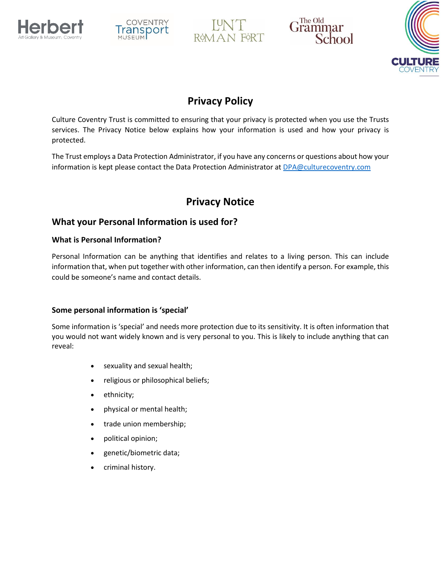





Grammar School



# **Privacy Policy**

Culture Coventry Trust is committed to ensuring that your privacy is protected when you use the Trusts services. The Privacy Notice below explains how your information is used and how your privacy is protected.

The Trust employs a Data Protection Administrator, if you have any concerns or questions about how your information is kept please contact the Data Protection Administrator at [DPA@culturecoventry.com](mailto:DPA@culturecoventry.com)

# **Privacy Notice**

## **What your Personal Information is used for?**

## **What is Personal Information?**

Personal Information can be anything that identifies and relates to a living person. This can include information that, when put together with other information, can then identify a person. For example, this could be someone's name and contact details.

## **Some personal information is 'special'**

Some information is 'special' and needs more protection due to its sensitivity. It is often information that you would not want widely known and is very personal to you. This is likely to include anything that can reveal:

- sexuality and sexual health;
- religious or philosophical beliefs;
- ethnicity;
- physical or mental health;
- trade union membership;
- political opinion;
- genetic/biometric data;
- criminal history.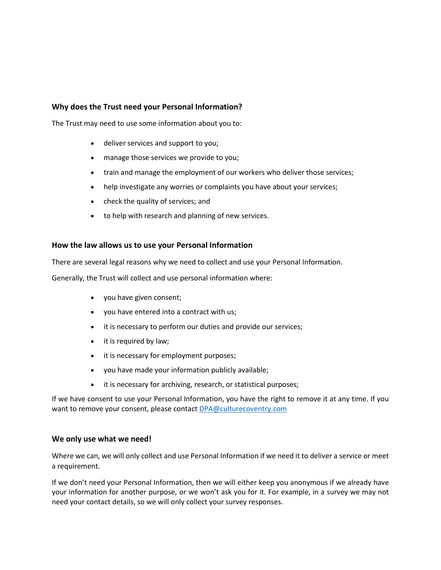#### **Why does the Trust need your Personal Information?**

The Trust may need to use some information about you to:

- deliver services and support to you;
- manage those services we provide to you;
- train and manage the employment of our workers who deliver those services;
- help investigate any worries or complaints you have about your services;
- check the quality of services; and
- to help with research and planning of new services.

#### **How the law allows us to use your Personal Information**

There are several legal reasons why we need to collect and use your Personal Information.

Generally, the Trust will collect and use personal information where:

- you have given consent;
- you have entered into a contract with us;
- it is necessary to perform our duties and provide our services;
- $\bullet$  it is required by law;
- it is necessary for employment purposes;
- you have made your information publicly available;
- it is necessary for archiving, research, or statistical purposes;

If we have consent to use your Personal Information, you have the right to remove it at any time. If you want to remove your consent, please contact [DPA@culturecoventry.com](mailto:DPA@culturecoventry.com)

#### **We only use what we need!**

Where we can, we will only collect and use Personal Information if we need it to deliver a service or meet a requirement.

If we don't need your Personal Information, then we will either keep you anonymous if we already have your information for another purpose, or we won't ask you for it. For example, in a survey we may not need your contact details, so we will only collect your survey responses.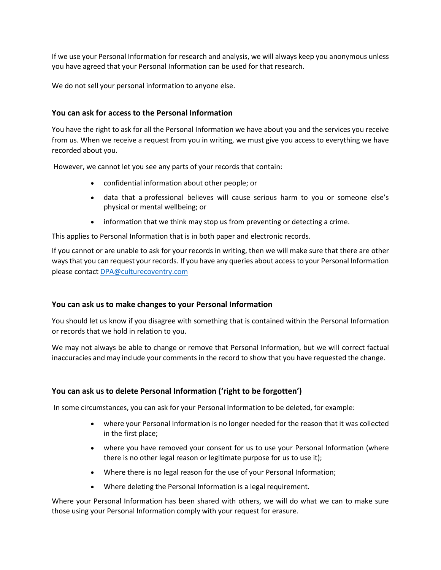If we use your Personal Information for research and analysis, we will always keep you anonymous unless you have agreed that your Personal Information can be used for that research.

We do not sell your personal information to anyone else.

### **You can ask for access to the Personal Information**

You have the right to ask for all the Personal Information we have [about you](https://www.essex.gov.uk/Your-Council/Your-Right-Know/Pages/Your-Right-Know.aspx) and the services you receive from us. When we receive a request from you in writing, we must give you access to everything we have recorded about you.

However, we cannot let you see any parts of your records that contain:

- confidential information about other people; or
- data that a professional believes will cause serious harm to you or someone else's physical or mental wellbeing; or
- information that we think may stop us from preventing or detecting a crime.

This applies to Personal Information that is in both paper and electronic records.

If you cannot or are unable to ask for your records in writing, then we will make sure that there are other ways that you can request your records. If you have any queries about access to your Personal Information please contact [DPA@culturecoventry.com](mailto:DPA@culturecoventry.com)

### **You can ask us to make changes to your Personal Information**

You should let us know if you disagree with something that is contained within the Personal Information or records that we hold in relation to you.

We may not always be able to change or remove that Personal Information, but we will correct factual inaccuracies and may include your comments in the record to show that you have requested the change.

### **You can ask us to delete Personal Information ('right to be forgotten')**

In some circumstances, you can ask for your Personal Information to be deleted, for example:

- where your Personal Information is no longer needed for the reason that it was collected in the first place;
- where you have removed your consent for us to use your Personal Information (where there is no other legal reason or legitimate purpose for us to use it);
- Where there is no legal reason for the use of your Personal Information;
- Where deleting the Personal Information is a legal requirement.

Where your Personal Information has been shared with others, we will do what we can to make sure those using your Personal Information comply with your request for erasure.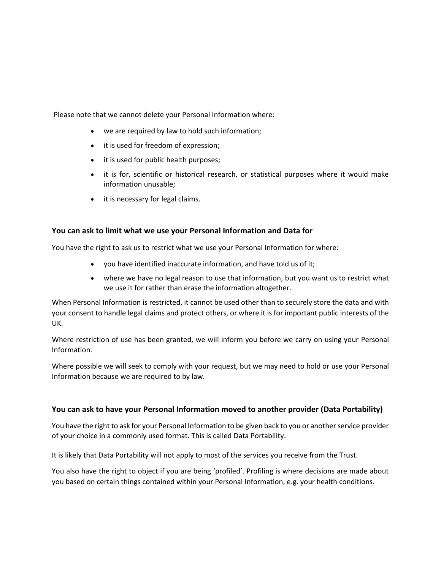Please note that we cannot delete your Personal Information where:

- we are required by law to hold such information;
- it is used for freedom of expression;
- it is used for public health purposes;
- it is for, scientific or historical research, or statistical purposes where it would make information unusable;
- it is necessary for legal claims.

#### **You can ask to limit what we use your Personal Information and Data for**

You have the right to ask us to restrict what we use your Personal Information for where:

- you have identified inaccurate information, and have told us of it;
- where we have no legal reason to use that information, but you want us to restrict what we use it for rather than erase the information altogether.

When Personal Information is restricted, it cannot be used other than to securely store the data and with your consent to handle legal claims and protect others, or where it is for important public interests of the UK.

Where restriction of use has been granted, we will inform you before we carry on using your Personal Information.

Where possible we will seek to comply with your request, but we may need to hold or use your Personal Information because we are required to by law.

### **You can ask to have your Personal Information moved to another provider (Data Portability)**

You have the right to ask for your Personal Information to be given back to you or another service provider of your choice in a commonly used format. This is called Data Portability.

It is likely that Data Portability will not apply to most of the services you receive from the Trust.

You also have the right to object if you are being 'profiled'. Profiling is where decisions are made about you based on certain things contained within your Personal Information, e.g. your health conditions.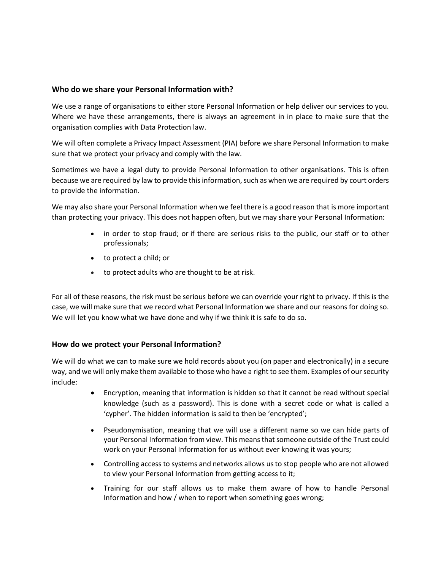#### **Who do we share your Personal Information with?**

We use a range of organisations to either store Personal Information or help deliver our services to you. Where we have these arrangements, there is always an agreement in in place to make sure that the organisation complies with Data Protection law.

We will often complete a Privacy Impact Assessment (PIA) before we share Personal Information to make sure that we protect your privacy and comply with the law.

Sometimes we have a legal duty to provide Personal Information to other organisations. This is often because we are required by law to provide this information, such as when we are required by court orders to provide the information.

We may also share your Personal Information when we feel there is a good reason that is more important than protecting your privacy. This does not happen often, but we may share your Personal Information:

- in order to stop fraud; or if there are serious risks to the public, our staff or to other professionals;
- to protect a child; or
- to protect adults who are thought to be at risk.

For all of these reasons, the risk must be serious before we can override your right to privacy. If this is the case, we will make sure that we record what Personal Information we share and our reasons for doing so. We will let you know what we have done and why if we think it is safe to do so.

#### **How do we protect your Personal Information?**

We will do what we can to make sure we hold records about you (on paper and electronically) in a secure way, and we will only make them available to those who have a right to see them. Examples of our security include:

- Encryption, meaning that information is hidden so that it cannot be read without special knowledge (such as a password). This is done with a secret code or what is called a 'cypher'. The hidden information is said to then be 'encrypted';
- Pseudonymisation, meaning that we will use a different name so we can hide parts of your Personal Information from view. This means that someone outside of the Trust could work on your Personal Information for us without ever knowing it was yours;
- Controlling access to systems and networks allows us to stop people who are not allowed to view your Personal Information from getting access to it;
- Training for our staff allows us to make them aware of how to handle Personal Information and how / when to report when something goes wrong;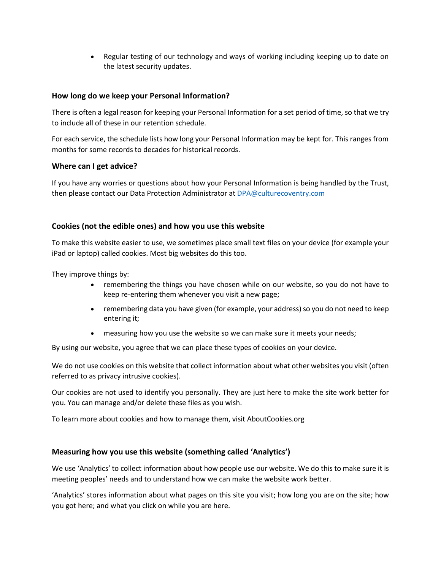Regular testing of our technology and ways of working including keeping up to date on the latest security updates.

#### **How long do we keep your Personal Information?**

There is often a legal reason for keeping your Personal Information for a set period of time, so that we try to include all of these in our retention schedule.

For each service, the schedule lists how long your Personal Information may be kept for. This ranges from months for some records to decades for historical records.

#### **Where can I get advice?**

If you have any worries or questions about how your Personal Information is being handled by the Trust, then please contact our Data Protection Administrator a[t DPA@culturecoventry.com](mailto:DPA@culturecoventry.com)

#### **Cookies (not the edible ones) and how you use this website**

To make this website easier to use, we sometimes place small text files on your device (for example your iPad or laptop) called cookies. Most big websites do this too.

They improve things by:

- remembering the things you have chosen while on our website, so you do not have to keep re-entering them whenever you visit a new page;
- remembering data you have given (for example, your address) so you do not need to keep entering it;
- measuring how you use the website so we can make sure it meets your needs;

By using our website, you agree that we can place these types of cookies on your device.

We do not use cookies on this website that collect information about what other websites you visit (often referred to as privacy intrusive cookies).

Our cookies are not used to identify you personally. They are just here to make the site work better for you. You can manage and/or delete these files as you wish.

To learn more about cookies and how to manage them, visit AboutCookies.org

#### **Measuring how you use this website (something called 'Analytics')**

We use 'Analytics' to collect information about how people use our website. We do this to make sure it is meeting peoples' needs and to understand how we can make the website work better.

'Analytics' stores information about what pages on this site you visit; how long you are on the site; how you got here; and what you click on while you are here.